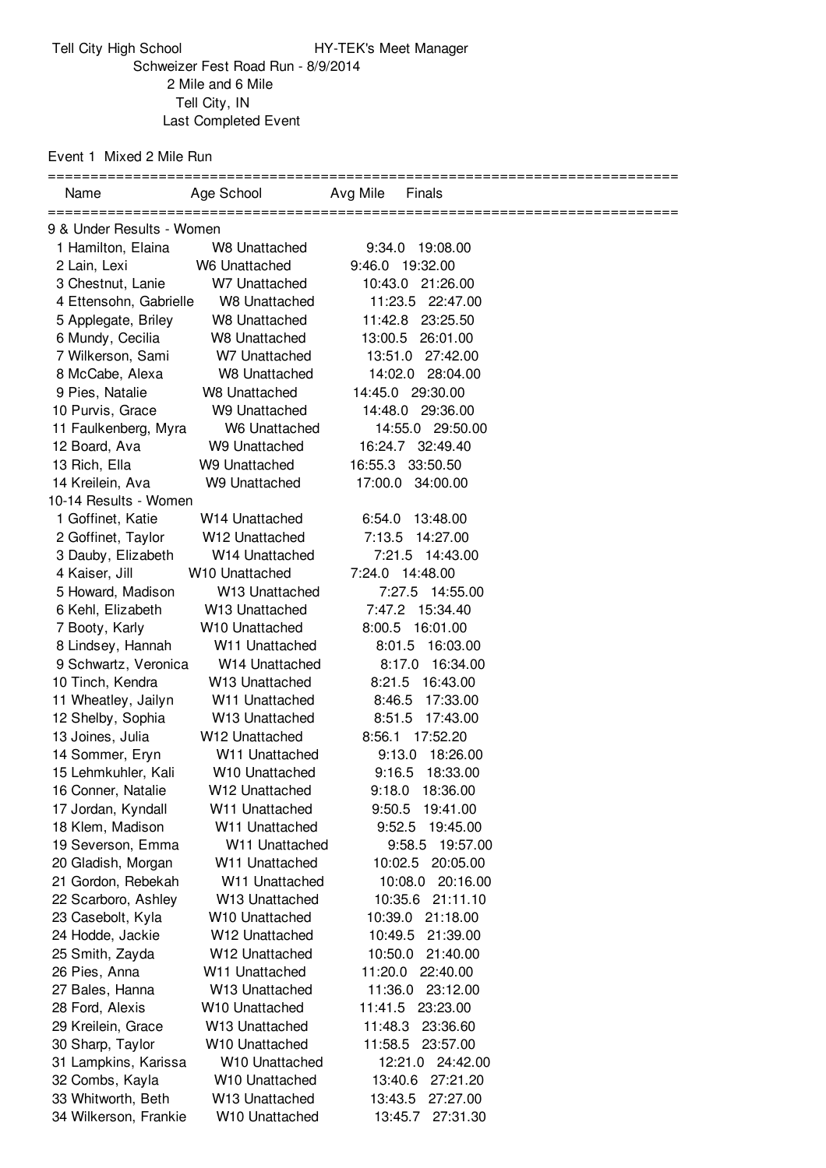Event 1 Mixed 2 Mile Run

 Mile and 6 Mile Tell City, IN Last Completed Event

| Name                      | Age School                 | Avg Mile<br>Finals  |  |  |  |
|---------------------------|----------------------------|---------------------|--|--|--|
| 9 & Under Results - Women |                            |                     |  |  |  |
| 1 Hamilton, Elaina        | <b>W8 Unattached</b>       | 9:34.0<br>19:08.00  |  |  |  |
| 2 Lain, Lexi              | W6 Unattached              | 9:46.0 19:32.00     |  |  |  |
| 3 Chestnut, Lanie         | W7 Unattached              | 10:43.0 21:26.00    |  |  |  |
| 4 Ettensohn, Gabrielle    | W8 Unattached              | 11:23.5 22:47.00    |  |  |  |
| 5 Applegate, Briley       | W8 Unattached              | 11:42.8 23:25.50    |  |  |  |
| 6 Mundy, Cecilia          | W8 Unattached              | 13:00.5<br>26:01.00 |  |  |  |
| 7 Wilkerson, Sami         | W7 Unattached              | 13:51.0<br>27:42.00 |  |  |  |
| 8 McCabe, Alexa           | <b>W8 Unattached</b>       | 14:02.0 28:04.00    |  |  |  |
| 9 Pies, Natalie           | W8 Unattached              | 14:45.0 29:30.00    |  |  |  |
| 10 Purvis, Grace          | W9 Unattached              | 14:48.0 29:36.00    |  |  |  |
| 11 Faulkenberg, Myra      | W6 Unattached              | 14:55.0 29:50.00    |  |  |  |
| 12 Board, Ava             | W9 Unattached              | 16:24.7 32:49.40    |  |  |  |
| 13 Rich, Ella             | W9 Unattached              | 16:55.3 33:50.50    |  |  |  |
| 14 Kreilein, Ava          | W9 Unattached              | 17:00.0 34:00.00    |  |  |  |
| 10-14 Results - Women     |                            |                     |  |  |  |
| 1 Goffinet, Katie         | W14 Unattached             | 6:54.0<br>13:48.00  |  |  |  |
| 2 Goffinet, Taylor        | W12 Unattached             | 7:13.5<br>14:27.00  |  |  |  |
| 3 Dauby, Elizabeth        | W14 Unattached             | 7:21.5 14:43.00     |  |  |  |
| 4 Kaiser, Jill            | W10 Unattached             | 7:24.0 14:48.00     |  |  |  |
| 5 Howard, Madison         | W13 Unattached             | 7:27.5 14:55.00     |  |  |  |
| 6 Kehl, Elizabeth         | W13 Unattached             | 7:47.2 15:34.40     |  |  |  |
| 7 Booty, Karly            | W10 Unattached             | 8:00.5<br>16:01.00  |  |  |  |
| 8 Lindsey, Hannah         | W11 Unattached             | 8:01.5<br>16:03.00  |  |  |  |
| 9 Schwartz, Veronica      | W14 Unattached             | 16:34.00<br>8:17.0  |  |  |  |
| 10 Tinch, Kendra          | W <sub>13</sub> Unattached | 8:21.5<br>16:43.00  |  |  |  |
| 11 Wheatley, Jailyn       | W <sub>11</sub> Unattached | 8:46.5<br>17:33.00  |  |  |  |
| 12 Shelby, Sophia         | W13 Unattached             | 8:51.5<br>17:43.00  |  |  |  |
| 13 Joines, Julia          | W12 Unattached             | 17:52.20<br>8:56.1  |  |  |  |
| 14 Sommer, Eryn           | W <sub>11</sub> Unattached | 9:13.0<br>18:26.00  |  |  |  |
| 15 Lehmkuhler, Kali       | W10 Unattached             | 18:33.00<br>9:16.5  |  |  |  |
| 16 Conner, Natalie        | W <sub>12</sub> Unattached | 9:18.0 18:36.00     |  |  |  |
| 17 Jordan, Kyndall        | W11 Unattached             | 9:50.5 19:41.00     |  |  |  |
| 18 Klem, Madison          | W11 Unattached             | 9:52.5<br>19:45.00  |  |  |  |
| 19 Severson, Emma         | W11 Unattached             | 9:58.5<br>19:57.00  |  |  |  |
| 20 Gladish, Morgan        | W11 Unattached             | 10:02.5 20:05.00    |  |  |  |
| 21 Gordon, Rebekah        | W <sub>11</sub> Unattached | 10:08.0<br>20:16.00 |  |  |  |
| 22 Scarboro, Ashley       | W13 Unattached             | 10:35.6 21:11.10    |  |  |  |
| 23 Casebolt, Kyla         | W10 Unattached             | 10:39.0<br>21:18.00 |  |  |  |
| 24 Hodde, Jackie          | W12 Unattached             | 10:49.5<br>21:39.00 |  |  |  |
| 25 Smith, Zayda           | W12 Unattached             | 10:50.0<br>21:40.00 |  |  |  |
| 26 Pies, Anna             | W <sub>11</sub> Unattached | 11:20.0<br>22:40.00 |  |  |  |
| 27 Bales, Hanna           | W13 Unattached             | 11:36.0<br>23:12.00 |  |  |  |
| 28 Ford, Alexis           | W <sub>10</sub> Unattached | 11:41.5<br>23:23.00 |  |  |  |
| 29 Kreilein, Grace        | W <sub>13</sub> Unattached | 11:48.3<br>23:36.60 |  |  |  |
| 30 Sharp, Taylor          | W <sub>10</sub> Unattached | 11:58.5<br>23:57.00 |  |  |  |
| 31 Lampkins, Karissa      | W <sub>10</sub> Unattached | 12:21.0<br>24:42.00 |  |  |  |
| 32 Combs, Kayla           | W <sub>10</sub> Unattached | 13:40.6<br>27:21.20 |  |  |  |
| 33 Whitworth, Beth        | W13 Unattached             | 13:43.5<br>27:27.00 |  |  |  |
| 34 Wilkerson, Frankie     | W10 Unattached             | 27:31.30<br>13:45.7 |  |  |  |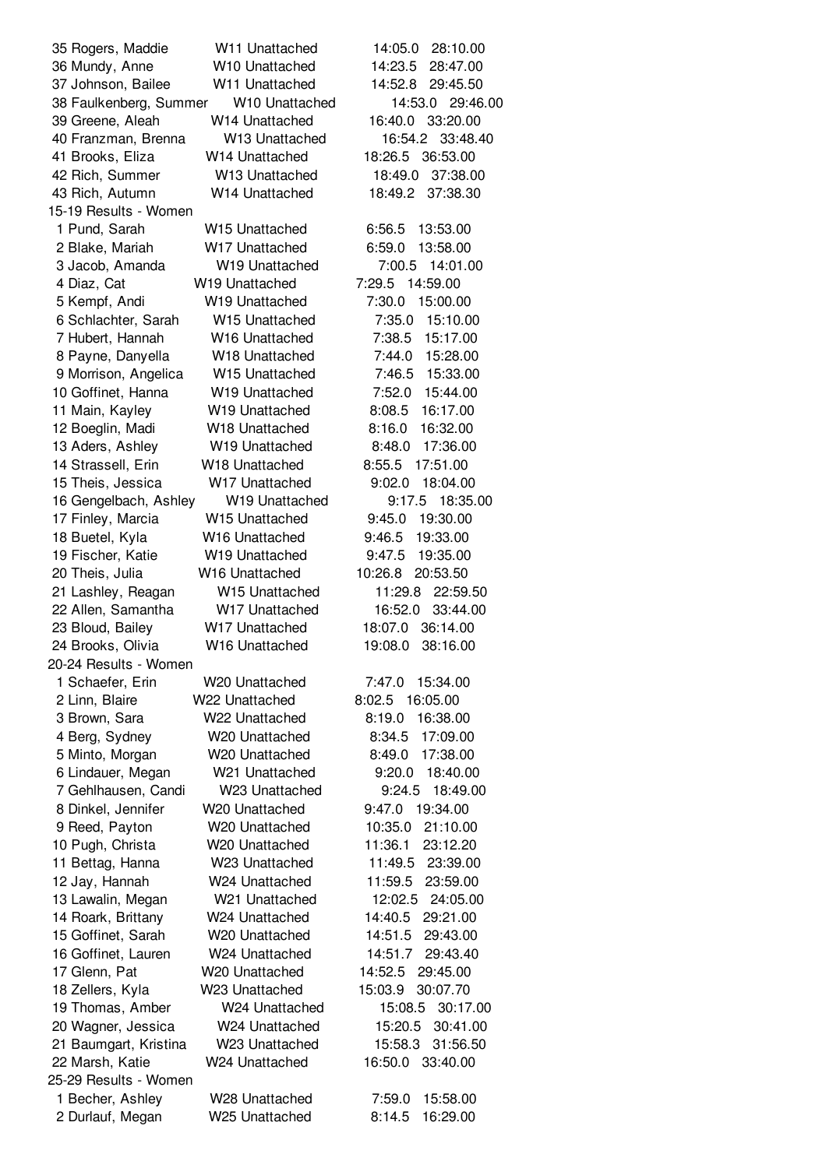| 35 Rogers, Maddie                        | W11 Unattached                   | 14:05.0<br>28:10.00                        |
|------------------------------------------|----------------------------------|--------------------------------------------|
| 36 Mundy, Anne                           | W10 Unattached                   | 14:23.5<br>28:47.00                        |
| 37 Johnson, Bailee                       | W11 Unattached                   | 14:52.8<br>29:45.50                        |
| 38 Faulkenberg, Summer                   | W10 Unattached                   | 14:53.0 29:46.00                           |
| 39 Greene, Aleah                         | W14 Unattached                   | 16:40.0<br>33:20.00                        |
| 40 Franzman, Brenna                      | W13 Unattached                   | 16:54.2<br>33:48.40                        |
| 41 Brooks, Eliza                         | W14 Unattached                   | 18:26.5<br>36:53.00                        |
| 42 Rich, Summer                          | W13 Unattached                   | 18:49.0<br>37:38.00                        |
| 43 Rich, Autumn                          | W14 Unattached                   | 37:38.30<br>18:49.2                        |
| 15-19 Results - Women                    |                                  |                                            |
| 1 Pund, Sarah                            | W15 Unattached                   | 13:53.00<br>6:56.5                         |
| 2 Blake, Mariah                          | W17 Unattached                   | 6:59.0<br>13:58.00                         |
| 3 Jacob, Amanda                          | W19 Unattached                   | 7:00.5<br>14:01.00                         |
| 4 Diaz, Cat                              | W19 Unattached                   | 7:29.5<br>14:59.00                         |
| 5 Kempf, Andi                            | W19 Unattached                   | 7:30.0<br>15:00.00                         |
| 6 Schlachter, Sarah                      | W15 Unattached                   | 15:10.00<br>7:35.0                         |
| 7 Hubert, Hannah                         | W16 Unattached                   | 7:38.5<br>15:17.00                         |
| 8 Payne, Danyella                        | W18 Unattached                   | 7:44.0<br>15:28.00                         |
| 9 Morrison, Angelica                     | W15 Unattached                   | 7:46.5<br>15:33.00                         |
| 10 Goffinet, Hanna                       | W19 Unattached                   | 7:52.0<br>15:44.00                         |
| 11 Main, Kayley                          | W19 Unattached                   | 16:17.00<br>8:08.5                         |
| 12 Boeglin, Madi                         | W18 Unattached                   | 8:16.0<br>16:32.00                         |
| 13 Aders, Ashley                         | W19 Unattached                   | 8:48.0<br>17:36.00                         |
| 14 Strassell, Erin                       | W18 Unattached                   | 8:55.5<br>17:51.00                         |
| 15 Theis, Jessica                        | W17 Unattached                   | 9:02.0<br>18:04.00                         |
| 16 Gengelbach, Ashley                    | W19 Unattached                   | 18:35.00<br>9:17.5                         |
| 17 Finley, Marcia                        | W <sub>15</sub> Unattached       | 9:45.0<br>19:30.00                         |
| 18 Buetel, Kyla                          | W16 Unattached                   | 9:46.5<br>19:33.00                         |
| 19 Fischer, Katie                        | W19 Unattached                   | 9:47.5<br>19:35.00                         |
| 20 Theis, Julia                          | W16 Unattached                   | 10:26.8<br>20:53.50                        |
| 21 Lashley, Reagan                       | W15 Unattached                   | 11:29.8<br>22:59.50                        |
| 22 Allen, Samantha                       | W17 Unattached                   | 16:52.0<br>33:44.00                        |
| 23 Bloud, Bailey                         | W17 Unattached                   | 18:07.0<br>36:14.00                        |
| 24 Brooks, Olivia                        | W16 Unattached                   | 19:08.0<br>38:16.00                        |
| 20-24 Results - Women                    |                                  |                                            |
| 1 Schaefer, Erin                         | W20 Unattached                   | 7:47.0<br>15:34.00                         |
| 2 Linn, Blaire                           | W22 Unattached                   | 8:02.5<br>16:05.00                         |
| 3 Brown, Sara                            | W22 Unattached                   | 8:19.0<br>16:38.00                         |
| 4 Berg, Sydney                           | W20 Unattached                   | 8:34.5<br>17:09.00                         |
| 5 Minto, Morgan                          | W20 Unattached                   | 17:38.00<br>8:49.0                         |
| 6 Lindauer, Megan                        | W21 Unattached                   | 9:20.0<br>18:40.00                         |
| 7 Gehlhausen, Candi                      | W23 Unattached                   | 9:24.5<br>18:49.00                         |
| 8 Dinkel, Jennifer                       | W20 Unattached                   | 9:47.0<br>19:34.00                         |
| 9 Reed, Payton                           | W20 Unattached                   | 10:35.0<br>21:10.00                        |
| 10 Pugh, Christa                         | W20 Unattached                   | 11:36.1<br>23:12.20                        |
| 11 Bettag, Hanna                         | W23 Unattached                   | 11:49.5<br>23:39.00                        |
| 12 Jay, Hannah                           | W24 Unattached                   | 11:59.5<br>23:59.00                        |
| 13 Lawalin, Megan                        | W21 Unattached                   | 12:02.5<br>24:05.00                        |
| 14 Roark, Brittany                       | W24 Unattached                   | 14:40.5<br>29:21.00                        |
| 15 Goffinet, Sarah                       | W20 Unattached                   | 14:51.5<br>29:43.00                        |
| 16 Goffinet, Lauren                      | W24 Unattached                   | 14:51.7<br>29:43.40                        |
| 17 Glenn, Pat                            | W20 Unattached                   | 14:52.5<br>29:45.00                        |
| 18 Zellers, Kyla                         | W23 Unattached                   | 15:03.9<br>30:07.70                        |
| 19 Thomas, Amber                         | W24 Unattached<br>W24 Unattached | 15:08.5<br>30:17.00<br>15:20.5<br>30:41.00 |
| 20 Wagner, Jessica                       | W23 Unattached                   | 15:58.3<br>31:56.50                        |
| 21 Baumgart, Kristina<br>22 Marsh, Katie | W24 Unattached                   | 16:50.0<br>33:40.00                        |
| 25-29 Results - Women                    |                                  |                                            |
| 1 Becher, Ashley                         | W28 Unattached                   | 7:59.0<br>15:58.00                         |
| 2 Durlauf, Megan                         | W25 Unattached                   | 8:14.5<br>16:29.00                         |
|                                          |                                  |                                            |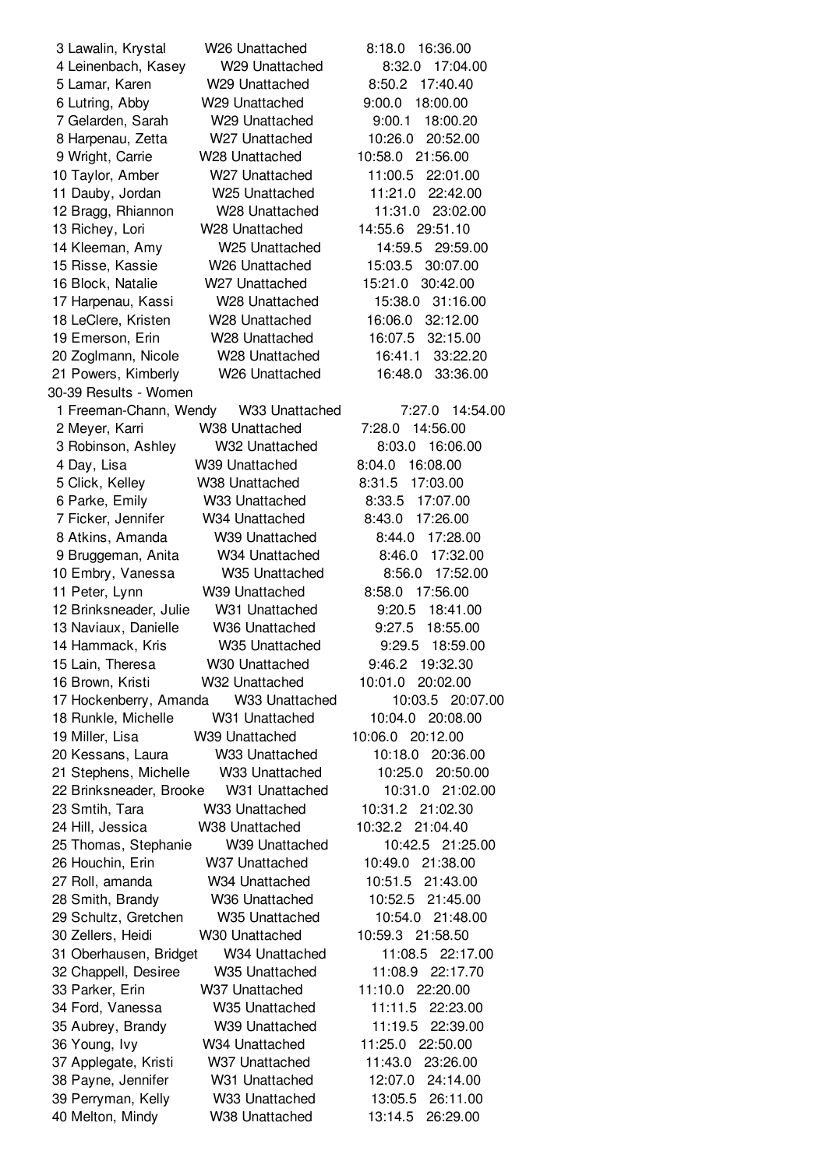Lawalin, Krystal W26 Unattached 8:18.0 16:36.00 Leinenbach, Kasey W29 Unattached 8:32.0 17:04.00 Lamar, Karen W29 Unattached 8:50.2 17:40.40 Lutring, Abby W29 Unattached 9:00.0 18:00.00 Gelarden, Sarah W29 Unattached 9:00.1 18:00.20 Harpenau, Zetta W27 Unattached 10:26.0 20:52.00 Wright, Carrie W28 Unattached 10:58.0 21:56.00 Taylor, Amber W27 Unattached 11:00.5 22:01.00 Dauby, Jordan W25 Unattached 11:21.0 22:42.00 Bragg, Rhiannon W28 Unattached 11:31.0 23:02.00 Richey, Lori W28 Unattached 14:55.6 29:51.10 Kleeman, Amy W25 Unattached 14:59.5 29:59.00 Risse, Kassie W26 Unattached 15:03.5 30:07.00 Block, Natalie W27 Unattached 15:21.0 30:42.00 Harpenau, Kassi W28 Unattached 15:38.0 31:16.00 LeClere, Kristen W28 Unattached 16:06.0 32:12.00 Emerson, Erin W28 Unattached 16:07.5 32:15.00 Zoglmann, Nicole W28 Unattached 16:41.1 33:22.20 Powers, Kimberly W26 Unattached 16:48.0 33:36.00 30-39 Results - Women Freeman-Chann, Wendy W33 Unattached 7:27.0 14:54.00 Meyer, Karri W38 Unattached 7:28.0 14:56.00 Robinson, Ashley W32 Unattached 8:03.0 16:06.00 Day, Lisa W39 Unattached 8:04.0 16:08.00 Click, Kelley W38 Unattached 8:31.5 17:03.00 Parke, Emily W33 Unattached 8:33.5 17:07.00 Ficker, Jennifer W34 Unattached 8:43.0 17:26.00 Atkins, Amanda W39 Unattached 8:44.0 17:28.00 Bruggeman, Anita W34 Unattached 8:46.0 17:32.00 Embry, Vanessa W35 Unattached 8:56.0 17:52.00 Peter, Lynn W39 Unattached 8:58.0 17:56.00 Brinksneader, Julie W31 Unattached 9:20.5 18:41.00 Naviaux, Danielle W36 Unattached 9:27.5 18:55.00 Hammack, Kris W35 Unattached 9:29.5 18:59.00 Lain, Theresa W30 Unattached 9:46.2 19:32.30 Brown, Kristi W32 Unattached 10:01.0 20:02.00 Hockenberry, Amanda W33 Unattached 10:03.5 20:07.00 Runkle, Michelle W31 Unattached 10:04.0 20:08.00 Miller, Lisa W39 Unattached 10:06.0 20:12.00 Kessans, Laura W33 Unattached 10:18.0 20:36.00 Stephens, Michelle W33 Unattached 10:25.0 20:50.00 Brinksneader, Brooke W31 Unattached 10:31.0 21:02.00 Smtih, Tara W33 Unattached 10:31.2 21:02.30 Hill, Jessica W38 Unattached 10:32.2 21:04.40 Thomas, Stephanie W39 Unattached 10:42.5 21:25.00 Houchin, Erin W37 Unattached 10:49.0 21:38.00 Roll, amanda W34 Unattached 10:51.5 21:43.00 Smith, Brandy W36 Unattached 10:52.5 21:45.00 Schultz, Gretchen W35 Unattached 10:54.0 21:48.00 Zellers, Heidi W30 Unattached 10:59.3 21:58.50 Oberhausen, Bridget W34 Unattached 11:08.5 22:17.00 Chappell, Desiree W35 Unattached 11:08.9 22:17.70 Parker, Erin W37 Unattached 11:10.0 22:20.00 Ford, Vanessa W35 Unattached 11:11.5 22:23.00 Aubrey, Brandy W39 Unattached 11:19.5 22:39.00 Young, Ivy W34 Unattached 11:25.0 22:50.00 Applegate, Kristi W37 Unattached 11:43.0 23:26.00 Payne, Jennifer W31 Unattached 12:07.0 24:14.00 Perryman, Kelly W33 Unattached 13:05.5 26:11.00 Melton, Mindy W38 Unattached 13:14.5 26:29.00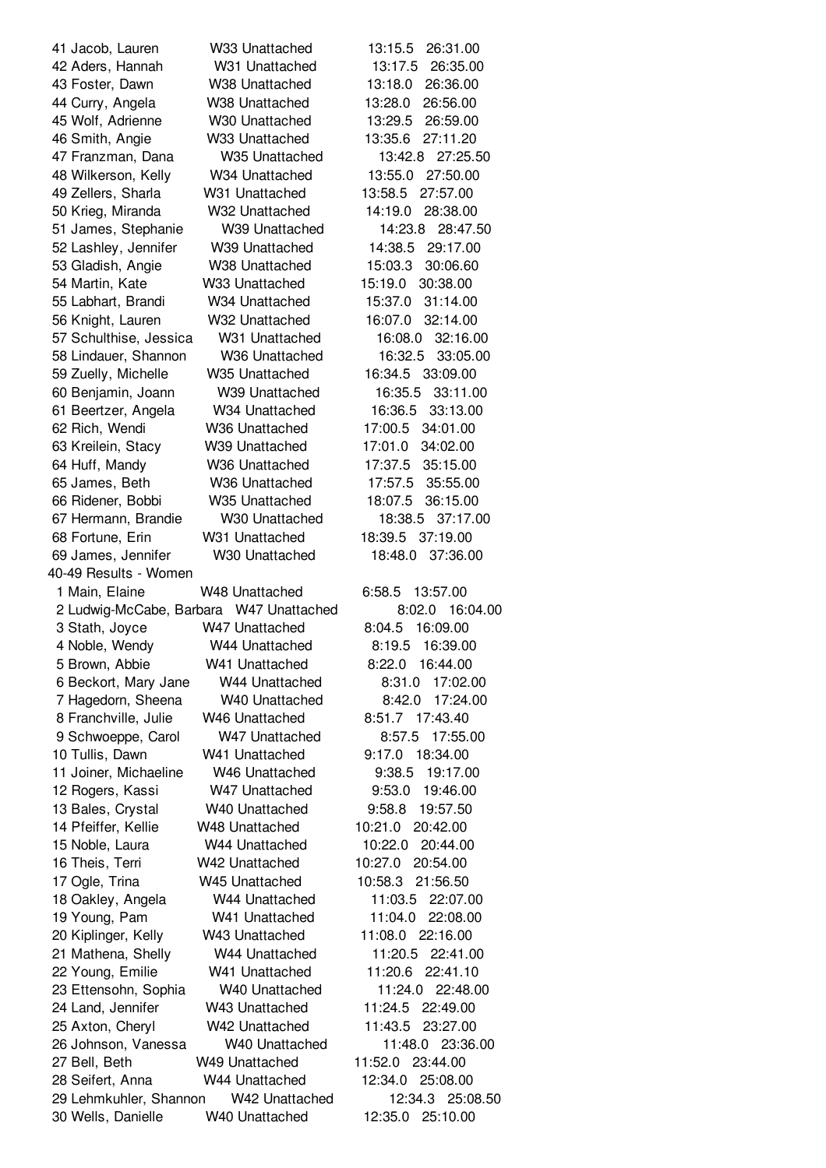Jacob, Lauren W33 Unattached 13:15.5 26:31.00 Aders, Hannah W31 Unattached 13:17.5 26:35.00 Foster, Dawn W38 Unattached 13:18.0 26:36.00 Curry, Angela W38 Unattached 13:28.0 26:56.00 Wolf, Adrienne W30 Unattached 13:29.5 26:59.00 Smith, Angie W33 Unattached 13:35.6 27:11.20 Franzman, Dana W35 Unattached 13:42.8 27:25.50 Wilkerson, Kelly W34 Unattached 13:55.0 27:50.00 Zellers, Sharla W31 Unattached 13:58.5 27:57.00 Krieg, Miranda W32 Unattached 14:19.0 28:38.00 James, Stephanie W39 Unattached 14:23.8 28:47.50 Lashley, Jennifer W39 Unattached 14:38.5 29:17.00 Gladish, Angie W38 Unattached 15:03.3 30:06.60 Martin, Kate W33 Unattached 15:19.0 30:38.00 Labhart, Brandi W34 Unattached 15:37.0 31:14.00 Knight, Lauren W32 Unattached 16:07.0 32:14.00 Schulthise, Jessica W31 Unattached 16:08.0 32:16.00 Lindauer, Shannon W36 Unattached 16:32.5 33:05.00 Zuelly, Michelle W35 Unattached 16:34.5 33:09.00 Benjamin, Joann W39 Unattached 16:35.5 33:11.00 Beertzer, Angela W34 Unattached 16:36.5 33:13.00 Rich, Wendi W36 Unattached 17:00.5 34:01.00 Kreilein, Stacy W39 Unattached 17:01.0 34:02.00 Huff, Mandy W36 Unattached 17:37.5 35:15.00 James, Beth W36 Unattached 17:57.5 35:55.00 Ridener, Bobbi W35 Unattached 18:07.5 36:15.00 Hermann, Brandie W30 Unattached 18:38.5 37:17.00 Fortune, Erin W31 Unattached 18:39.5 37:19.00 James, Jennifer W30 Unattached 18:48.0 37:36.00 40-49 Results - Women Main, Elaine W48 Unattached 6:58.5 13:57.00 Ludwig-McCabe, Barbara W47 Unattached 8:02.0 16:04.00 Stath, Joyce W47 Unattached 8:04.5 16:09.00 Noble, Wendy W44 Unattached 8:19.5 16:39.00 Brown, Abbie W41 Unattached 8:22.0 16:44.00 Beckort, Mary Jane W44 Unattached 8:31.0 17:02.00 Hagedorn, Sheena W40 Unattached 8:42.0 17:24.00 Franchville, Julie W46 Unattached 8:51.7 17:43.40 Schwoeppe, Carol W47 Unattached 8:57.5 17:55.00 Tullis, Dawn W41 Unattached 9:17.0 18:34.00 Joiner, Michaeline W46 Unattached 9:38.5 19:17.00 Rogers, Kassi W47 Unattached 9:53.0 19:46.00 Bales, Crystal W40 Unattached 9:58.8 19:57.50 Pfeiffer, Kellie W48 Unattached 10:21.0 20:42.00 Noble, Laura W44 Unattached 10:22.0 20:44.00 Theis, Terri W42 Unattached 10:27.0 20:54.00 Ogle, Trina W45 Unattached 10:58.3 21:56.50 Oakley, Angela W44 Unattached 11:03.5 22:07.00 Young, Pam W41 Unattached 11:04.0 22:08.00 Kiplinger, Kelly W43 Unattached 11:08.0 22:16.00 Mathena, Shelly W44 Unattached 11:20.5 22:41.00 Young, Emilie W41 Unattached 11:20.6 22:41.10 Ettensohn, Sophia W40 Unattached 11:24.0 22:48.00 Land, Jennifer W43 Unattached 11:24.5 22:49.00 Axton, Cheryl W42 Unattached 11:43.5 23:27.00 Johnson, Vanessa W40 Unattached 11:48.0 23:36.00 Bell, Beth W49 Unattached 11:52.0 23:44.00 Seifert, Anna W44 Unattached 12:34.0 25:08.00 Lehmkuhler, Shannon W42 Unattached 12:34.3 25:08.50 Wells, Danielle W40 Unattached 12:35.0 25:10.00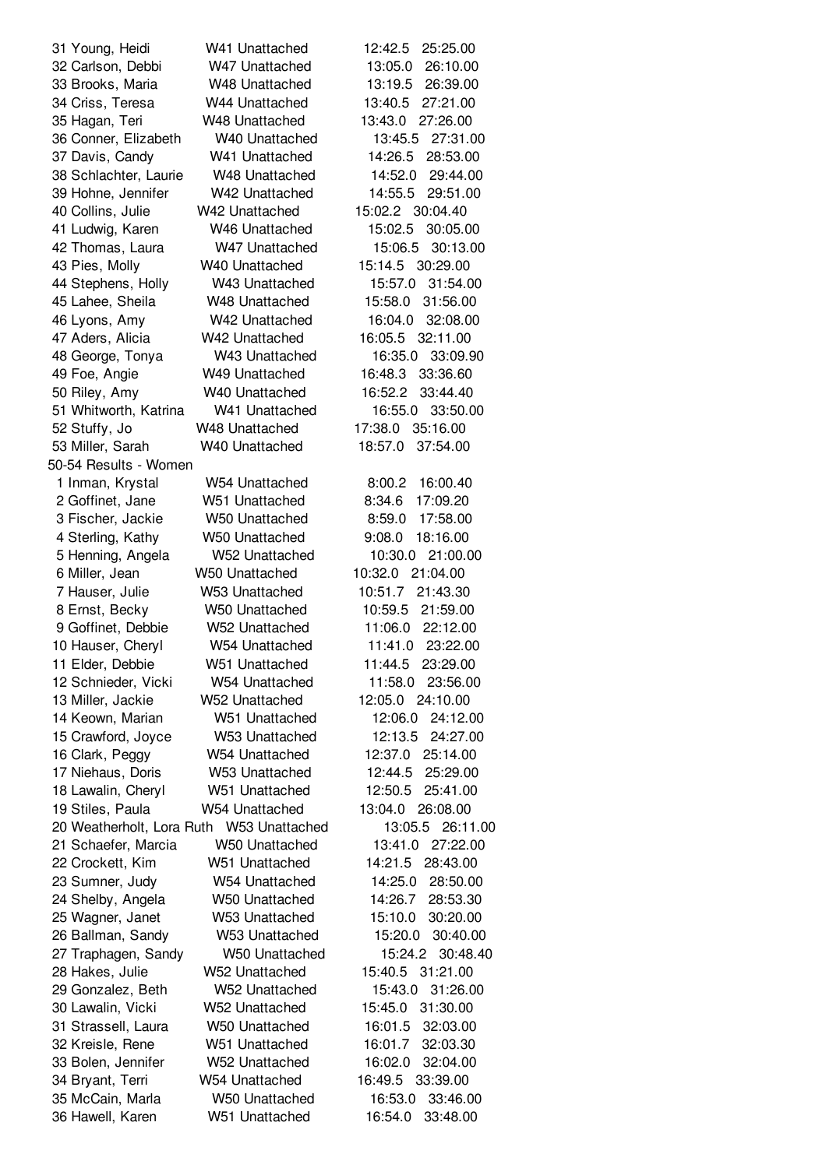Young, Heidi W41 Unattached 12:42.5 25:25.00 Carlson, Debbi W47 Unattached 13:05.0 26:10.00 Brooks, Maria W48 Unattached 13:19.5 26:39.00 Criss, Teresa W44 Unattached 13:40.5 27:21.00 Hagan, Teri W48 Unattached 13:43.0 27:26.00 Conner, Elizabeth W40 Unattached 13:45.5 27:31.00 Davis, Candy W41 Unattached 14:26.5 28:53.00 Schlachter, Laurie W48 Unattached 14:52.0 29:44.00 Hohne, Jennifer W42 Unattached 14:55.5 29:51.00 Collins, Julie W42 Unattached 15:02.2 30:04.40 Ludwig, Karen W46 Unattached 15:02.5 30:05.00 Thomas, Laura W47 Unattached 15:06.5 30:13.00 Pies, Molly W40 Unattached 15:14.5 30:29.00 Stephens, Holly W43 Unattached 15:57.0 31:54.00 Lahee, Sheila W48 Unattached 15:58.0 31:56.00 Lyons, Amy W42 Unattached 16:04.0 32:08.00 Aders, Alicia W42 Unattached 16:05.5 32:11.00 George, Tonya W43 Unattached 16:35.0 33:09.90 Foe, Angie W49 Unattached 16:48.3 33:36.60 Riley, Amy W40 Unattached 16:52.2 33:44.40 Whitworth, Katrina W41 Unattached 16:55.0 33:50.00 Stuffy, Jo W48 Unattached 17:38.0 35:16.00 Miller, Sarah W40 Unattached 18:57.0 37:54.00 50-54 Results - Women Inman, Krystal W54 Unattached 8:00.2 16:00.40 Goffinet, Jane W51 Unattached 8:34.6 17:09.20 Fischer, Jackie W50 Unattached 8:59.0 17:58.00 Sterling, Kathy W50 Unattached 9:08.0 18:16.00 Henning, Angela W52 Unattached 10:30.0 21:00.00 Miller, Jean W50 Unattached 10:32.0 21:04.00 Hauser, Julie W53 Unattached 10:51.7 21:43.30 Ernst, Becky W50 Unattached 10:59.5 21:59.00 Goffinet, Debbie W52 Unattached 11:06.0 22:12.00 Hauser, Cheryl W54 Unattached 11:41.0 23:22.00 Elder, Debbie W51 Unattached 11:44.5 23:29.00 Schnieder, Vicki W54 Unattached 11:58.0 23:56.00 Miller, Jackie W52 Unattached 12:05.0 24:10.00 Keown, Marian W51 Unattached 12:06.0 24:12.00 Crawford, Joyce W53 Unattached 12:13.5 24:27.00 Clark, Peggy W54 Unattached 12:37.0 25:14.00 Niehaus, Doris W53 Unattached 12:44.5 25:29.00 Lawalin, Cheryl W51 Unattached 12:50.5 25:41.00 Stiles, Paula W54 Unattached 13:04.0 26:08.00 Weatherholt, Lora Ruth W53 Unattached 13:05.5 26:11.00 Schaefer, Marcia W50 Unattached 13:41.0 27:22.00 Crockett, Kim W51 Unattached 14:21.5 28:43.00 Sumner, Judy W54 Unattached 14:25.0 28:50.00 Shelby, Angela W50 Unattached 14:26.7 28:53.30 Wagner, Janet W53 Unattached 15:10.0 30:20.00 Ballman, Sandy W53 Unattached 15:20.0 30:40.00 Traphagen, Sandy W50 Unattached 15:24.2 30:48.40 Hakes, Julie W52 Unattached 15:40.5 31:21.00 Gonzalez, Beth W52 Unattached 15:43.0 31:26.00 Lawalin, Vicki W52 Unattached 15:45.0 31:30.00 Strassell, Laura W50 Unattached 16:01.5 32:03.00 Kreisle, Rene W51 Unattached 16:01.7 32:03.30 Bolen, Jennifer W52 Unattached 16:02.0 32:04.00 Bryant, Terri W54 Unattached 16:49.5 33:39.00 McCain, Marla W50 Unattached 16:53.0 33:46.00 Hawell, Karen W51 Unattached 16:54.0 33:48.00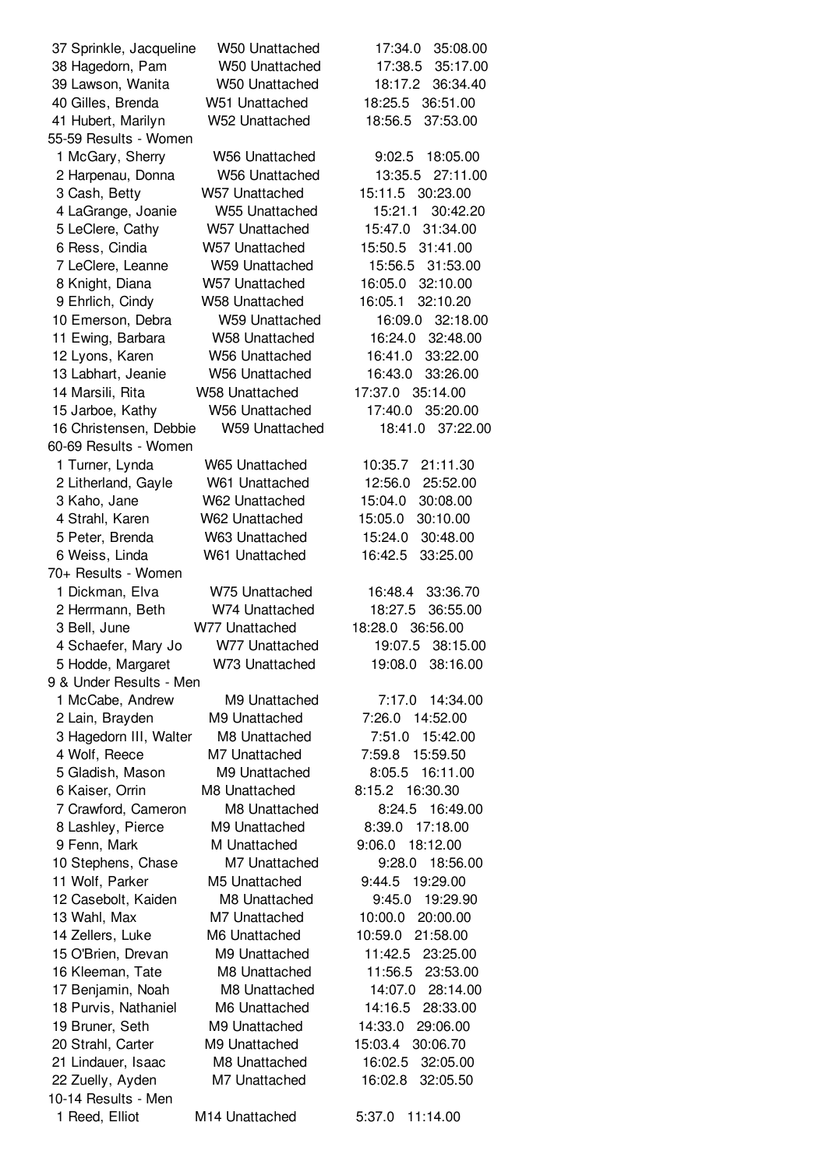| 37 Sprinkle, Jacqueline           | W50 Unattached                 | 17:34.0<br>35:08.00                      |
|-----------------------------------|--------------------------------|------------------------------------------|
| 38 Hagedorn, Pam                  | W50 Unattached                 | 17:38.5<br>35:17.00                      |
| 39 Lawson, Wanita                 | W50 Unattached                 | 18:17.2<br>36:34.40                      |
| 40 Gilles, Brenda                 | W51 Unattached                 | 18:25.5<br>36:51.00                      |
| 41 Hubert, Marilyn                | W52 Unattached                 | 37:53.00<br>18:56.5                      |
| 55-59 Results - Women             |                                |                                          |
| 1 McGary, Sherry                  | <b>W56 Unattached</b>          | 18:05.00<br>9:02.5                       |
| 2 Harpenau, Donna                 | W56 Unattached                 | 27:11.00<br>13:35.5                      |
| 3 Cash, Betty                     | W57 Unattached                 | 15:11.5 30:23.00                         |
| 4 LaGrange, Joanie                | W55 Unattached                 | 15:21.1<br>30:42.20                      |
| 5 LeClere, Cathy                  | W57 Unattached                 | 31:34.00<br>15:47.0                      |
| 6 Ress, Cindia                    | W57 Unattached                 | 15:50.5<br>31:41.00                      |
| 7 LeClere, Leanne                 | W59 Unattached                 | 15:56.5<br>31:53.00                      |
| 8 Knight, Diana                   | W57 Unattached                 | 16:05.0<br>32:10.00                      |
| 9 Ehrlich, Cindy                  | <b>W58 Unattached</b>          | 32:10.20<br>16:05.1                      |
| 10 Emerson, Debra                 | <b>W59 Unattached</b>          | 32:18.00<br>16:09.0                      |
| 11 Ewing, Barbara                 | W58 Unattached                 | 16:24.0<br>32:48.00                      |
| 12 Lyons, Karen                   | <b>W56 Unattached</b>          | 16:41.0<br>33:22.00                      |
| 13 Labhart, Jeanie                | <b>W56 Unattached</b>          | 16:43.0<br>33:26.00                      |
| 14 Marsili, Rita                  | <b>W58 Unattached</b>          | 17:37.0 35:14.00                         |
| 15 Jarboe, Kathy                  | <b>W56 Unattached</b>          | 17:40.0<br>35:20.00                      |
| 16 Christensen, Debbie            | <b>W59 Unattached</b>          | 18:41.0<br>37:22.00                      |
| 60-69 Results - Women             |                                |                                          |
| 1 Turner, Lynda                   | W65 Unattached                 | 10:35.7<br>21:11.30                      |
| 2 Litherland, Gayle               | W61 Unattached                 | 12:56.0<br>25:52.00                      |
| 3 Kaho, Jane                      | W62 Unattached                 | 15:04.0<br>30:08.00                      |
| 4 Strahl, Karen                   | W62 Unattached                 | 15:05.0<br>30:10.00                      |
| 5 Peter, Brenda                   | W63 Unattached                 | 15:24.0<br>30:48.00                      |
| 6 Weiss, Linda                    | W61 Unattached                 | 16:42.5<br>33:25.00                      |
| 70+ Results - Women               |                                |                                          |
| 1 Dickman, Elva                   | W75 Unattached                 | 33:36.70<br>16:48.4                      |
| 2 Herrmann, Beth                  | W74 Unattached                 | 18:27.5<br>36:55.00                      |
| 3 Bell, June                      | W77 Unattached                 | 18:28.0<br>36:56.00                      |
| 4 Schaefer, Mary Jo               | W77 Unattached                 | 19:07.5<br>38:15.00                      |
| 5 Hodde, Margaret                 | W73 Unattached                 | 19:08.0 38:16.00                         |
| 9 & Under Results - Men           |                                | 7:17.0                                   |
| 1 McCabe, Andrew                  | M9 Unattached                  | 14:34.00                                 |
| 2 Lain, Brayden                   | M9 Unattached                  | 7:26.0<br>14:52.00                       |
| 3 Hagedorn III, Walter            | M8 Unattached<br>M7 Unattached | 7:51.0<br>15:42.00<br>7:59.8<br>15:59.50 |
| 4 Wolf, Reece<br>5 Gladish, Mason | M9 Unattached                  | 16:11.00<br>8:05.5                       |
| 6 Kaiser, Orrin                   | M8 Unattached                  | 8:15.2<br>16:30.30                       |
| 7 Crawford, Cameron               | M8 Unattached                  | 8:24.5 16:49.00                          |
| 8 Lashley, Pierce                 | M9 Unattached                  | 17:18.00<br>8:39.0                       |
| 9 Fenn, Mark                      | M Unattached                   | 9:06.0<br>18:12.00                       |
| 10 Stephens, Chase                | M7 Unattached                  | 18:56.00<br>9:28.0                       |
| 11 Wolf, Parker                   | M5 Unattached                  | 9:44.5<br>19:29.00                       |
| 12 Casebolt, Kaiden               | M8 Unattached                  | 9:45.0<br>19:29.90                       |
| 13 Wahl, Max                      | M7 Unattached                  | 10:00.0<br>20:00.00                      |
| 14 Zellers, Luke                  | M6 Unattached                  | 21:58.00<br>10:59.0                      |
| 15 O'Brien, Drevan                | M9 Unattached                  | 11:42.5<br>23:25.00                      |
| 16 Kleeman, Tate                  | M8 Unattached                  | 11:56.5<br>23:53.00                      |
| 17 Benjamin, Noah                 | M8 Unattached                  | 14:07.0<br>28:14.00                      |
| 18 Purvis, Nathaniel              | M6 Unattached                  | 14:16.5<br>28:33.00                      |
| 19 Bruner, Seth                   | M9 Unattached                  | 14:33.0<br>29:06.00                      |
| 20 Strahl, Carter                 | M9 Unattached                  | 15:03.4<br>30:06.70                      |
| 21 Lindauer, Isaac                | M8 Unattached                  | 16:02.5<br>32:05.00                      |
| 22 Zuelly, Ayden                  | M7 Unattached                  | 16:02.8<br>32:05.50                      |
| 10-14 Results - Men               |                                |                                          |
| 1 Reed, Elliot                    | M14 Unattached                 | 5:37.0<br>11:14.00                       |
|                                   |                                |                                          |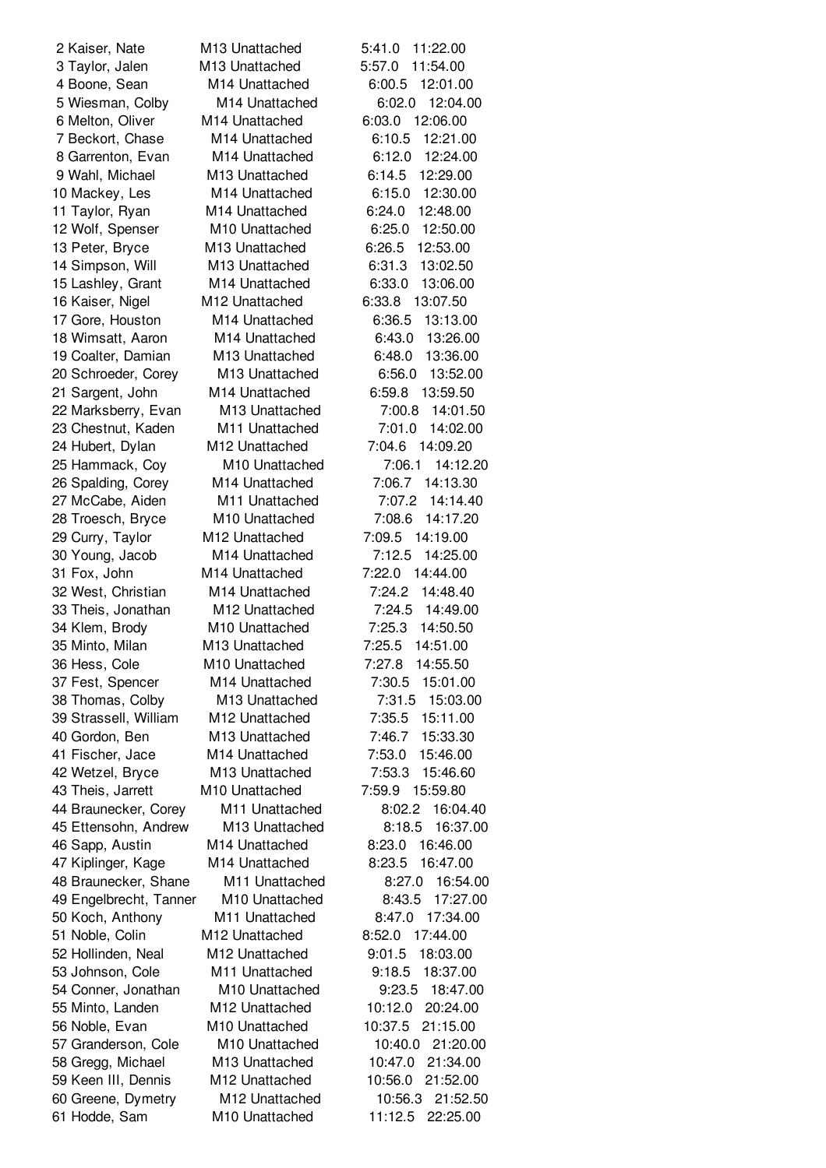Hodde, Sam M10 Unattached 11:12.5 22:25.00

 Kaiser, Nate M13 Unattached 5:41.0 11:22.00 Taylor, Jalen M13 Unattached 5:57.0 11:54.00 Boone, Sean M14 Unattached 6:00.5 12:01.00 Wiesman, Colby M14 Unattached 6:02.0 12:04.00 Melton, Oliver M14 Unattached 6:03.0 12:06.00 Beckort, Chase M14 Unattached 6:10.5 12:21.00 Garrenton, Evan M14 Unattached 6:12.0 12:24.00 Wahl, Michael M13 Unattached 6:14.5 12:29.00 Mackey, Les M14 Unattached 6:15.0 12:30.00 Taylor, Ryan M14 Unattached 6:24.0 12:48.00 Wolf, Spenser M10 Unattached 6:25.0 12:50.00 Peter, Bryce M13 Unattached 6:26.5 12:53.00 Simpson, Will M13 Unattached 6:31.3 13:02.50 Lashley, Grant M14 Unattached 6:33.0 13:06.00 Kaiser, Nigel M12 Unattached 6:33.8 13:07.50 Gore, Houston M14 Unattached 6:36.5 13:13.00 Wimsatt, Aaron M14 Unattached 6:43.0 13:26.00 Coalter, Damian M13 Unattached 6:48.0 13:36.00 Schroeder, Corey M13 Unattached 6:56.0 13:52.00 Sargent, John M14 Unattached 6:59.8 13:59.50 Marksberry, Evan M13 Unattached 7:00.8 14:01.50 Chestnut, Kaden M11 Unattached 7:01.0 14:02.00 Hubert, Dylan M12 Unattached 7:04.6 14:09.20 Hammack, Coy M10 Unattached 7:06.1 14:12.20 Spalding, Corey M14 Unattached 7:06.7 14:13.30 McCabe, Aiden M11 Unattached 7:07.2 14:14.40 Troesch, Bryce M10 Unattached 7:08.6 14:17.20 Curry, Taylor M12 Unattached 7:09.5 14:19.00 Young, Jacob M14 Unattached 7:12.5 14:25.00 Fox, John M14 Unattached 7:22.0 14:44.00 West, Christian M14 Unattached 7:24.2 14:48.40 Theis, Jonathan M12 Unattached 7:24.5 14:49.00 Klem, Brody M10 Unattached 7:25.3 14:50.50 Minto, Milan M13 Unattached 7:25.5 14:51.00 Hess, Cole M10 Unattached 7:27.8 14:55.50 Fest, Spencer M14 Unattached 7:30.5 15:01.00 Thomas, Colby M13 Unattached 7:31.5 15:03.00 Strassell, William M12 Unattached 7:35.5 15:11.00 Gordon, Ben M13 Unattached 7:46.7 15:33.30 Fischer, Jace M14 Unattached 7:53.0 15:46.00 Wetzel, Bryce M13 Unattached 7:53.3 15:46.60 Theis, Jarrett M10 Unattached 7:59.9 15:59.80 Braunecker, Corey M11 Unattached 8:02.2 16:04.40 Ettensohn, Andrew M13 Unattached 8:18.5 16:37.00 Sapp, Austin M14 Unattached 8:23.0 16:46.00 Kiplinger, Kage M14 Unattached 8:23.5 16:47.00 Braunecker, Shane M11 Unattached 8:27.0 16:54.00 Engelbrecht, Tanner M10 Unattached 8:43.5 17:27.00 Koch, Anthony M11 Unattached 8:47.0 17:34.00 Noble, Colin M12 Unattached 8:52.0 17:44.00 Hollinden, Neal M12 Unattached 9:01.5 18:03.00 Johnson, Cole M11 Unattached 9:18.5 18:37.00 Conner, Jonathan M10 Unattached 9:23.5 18:47.00 Minto, Landen M12 Unattached 10:12.0 20:24.00 Noble, Evan M10 Unattached 10:37.5 21:15.00 Granderson, Cole M10 Unattached 10:40.0 21:20.00 Gregg, Michael M13 Unattached 10:47.0 21:34.00 Keen III, Dennis M12 Unattached 10:56.0 21:52.00 Greene, Dymetry M12 Unattached 10:56.3 21:52.50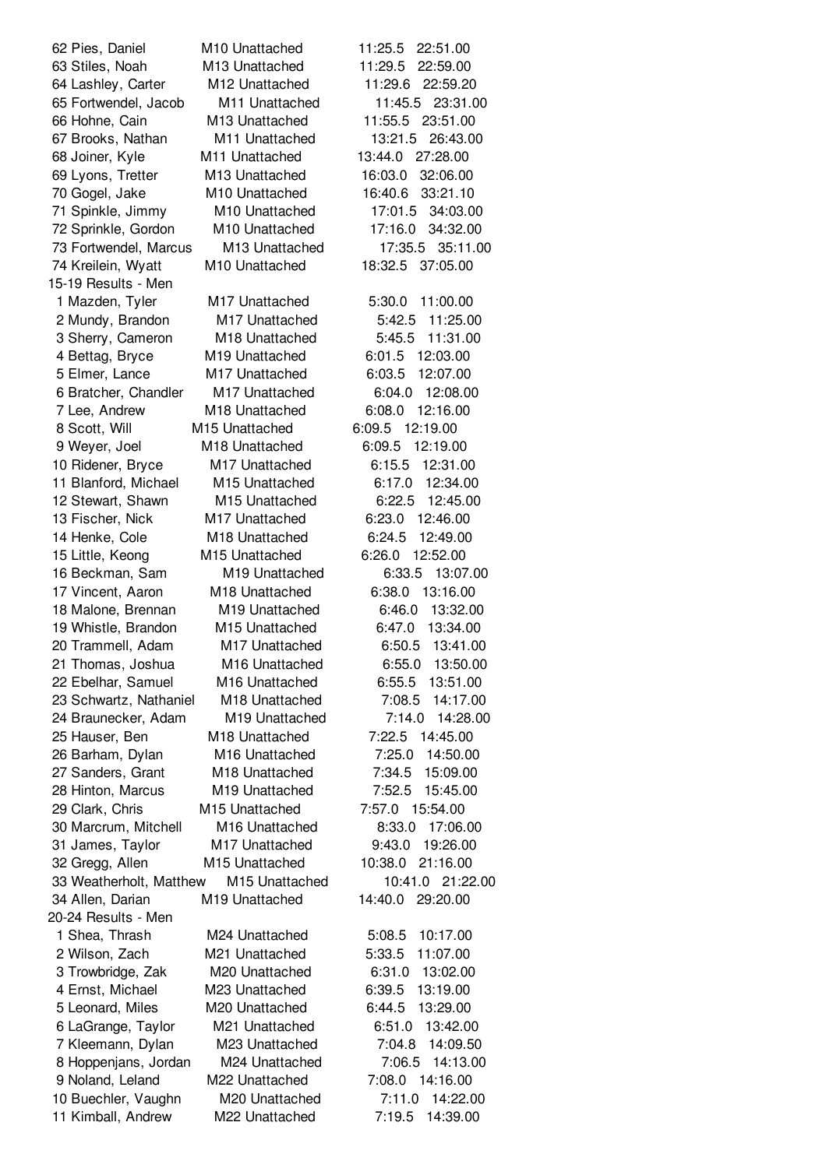15-19 Results - Men 20-24 Results - Men

 Pies, Daniel M10 Unattached 11:25.5 22:51.00 Stiles, Noah M13 Unattached 11:29.5 22:59.00 Lashley, Carter M12 Unattached 11:29.6 22:59.20 Fortwendel, Jacob M11 Unattached 11:45.5 23:31.00 Hohne, Cain M13 Unattached 11:55.5 23:51.00 Brooks, Nathan M11 Unattached 13:21.5 26:43.00 Joiner, Kyle M11 Unattached 13:44.0 27:28.00 Lyons, Tretter M13 Unattached 16:03.0 32:06.00 Gogel, Jake M10 Unattached 16:40.6 33:21.10 Spinkle, Jimmy M10 Unattached 17:01.5 34:03.00 Sprinkle, Gordon M10 Unattached 17:16.0 34:32.00 Fortwendel, Marcus M13 Unattached 17:35.5 35:11.00 Kreilein, Wyatt M10 Unattached 18:32.5 37:05.00 Mazden, Tyler M17 Unattached 5:30.0 11:00.00 Mundy, Brandon M17 Unattached 5:42.5 11:25.00 Sherry, Cameron M18 Unattached 5:45.5 11:31.00 Bettag, Bryce M19 Unattached 6:01.5 12:03.00 Elmer, Lance M17 Unattached 6:03.5 12:07.00 Bratcher, Chandler M17 Unattached 6:04.0 12:08.00 Lee, Andrew M18 Unattached 6:08.0 12:16.00 Scott, Will M15 Unattached 6:09.5 12:19.00 Weyer, Joel M18 Unattached 6:09.5 12:19.00 Ridener, Bryce M17 Unattached 6:15.5 12:31.00 Blanford, Michael M15 Unattached 6:17.0 12:34.00 Stewart, Shawn M15 Unattached 6:22.5 12:45.00 Fischer, Nick M17 Unattached 6:23.0 12:46.00 Henke, Cole M18 Unattached 6:24.5 12:49.00 Little, Keong M15 Unattached 6:26.0 12:52.00 Beckman, Sam M19 Unattached 6:33.5 13:07.00 Vincent, Aaron M18 Unattached 6:38.0 13:16.00 Malone, Brennan M19 Unattached 6:46.0 13:32.00 Whistle, Brandon M15 Unattached 6:47.0 13:34.00 Trammell, Adam M17 Unattached 6:50.5 13:41.00 Thomas, Joshua M16 Unattached 6:55.0 13:50.00 Ebelhar, Samuel M16 Unattached 6:55.5 13:51.00 Schwartz, Nathaniel M18 Unattached 7:08.5 14:17.00 Braunecker, Adam M19 Unattached 7:14.0 14:28.00 Hauser, Ben M18 Unattached 7:22.5 14:45.00 Barham, Dylan M16 Unattached 7:25.0 14:50.00 Sanders, Grant M18 Unattached 7:34.5 15:09.00 Hinton, Marcus M19 Unattached 7:52.5 15:45.00 Clark, Chris M15 Unattached 7:57.0 15:54.00 Marcrum, Mitchell M16 Unattached 8:33.0 17:06.00 James, Taylor M17 Unattached 9:43.0 19:26.00 Gregg, Allen M15 Unattached 10:38.0 21:16.00 Weatherholt, Matthew M15 Unattached 10:41.0 21:22.00 Allen, Darian M19 Unattached 14:40.0 29:20.00 Shea, Thrash M24 Unattached 5:08.5 10:17.00 Wilson, Zach M21 Unattached 5:33.5 11:07.00 Trowbridge, Zak M20 Unattached 6:31.0 13:02.00 Ernst, Michael M23 Unattached 6:39.5 13:19.00 Leonard, Miles M20 Unattached 6:44.5 13:29.00 LaGrange, Taylor M21 Unattached 6:51.0 13:42.00 Kleemann, Dylan M23 Unattached 7:04.8 14:09.50 Hoppenjans, Jordan M24 Unattached 7:06.5 14:13.00 Noland, Leland M22 Unattached 7:08.0 14:16.00 Buechler, Vaughn M20 Unattached 7:11.0 14:22.00 Kimball, Andrew M22 Unattached 7:19.5 14:39.00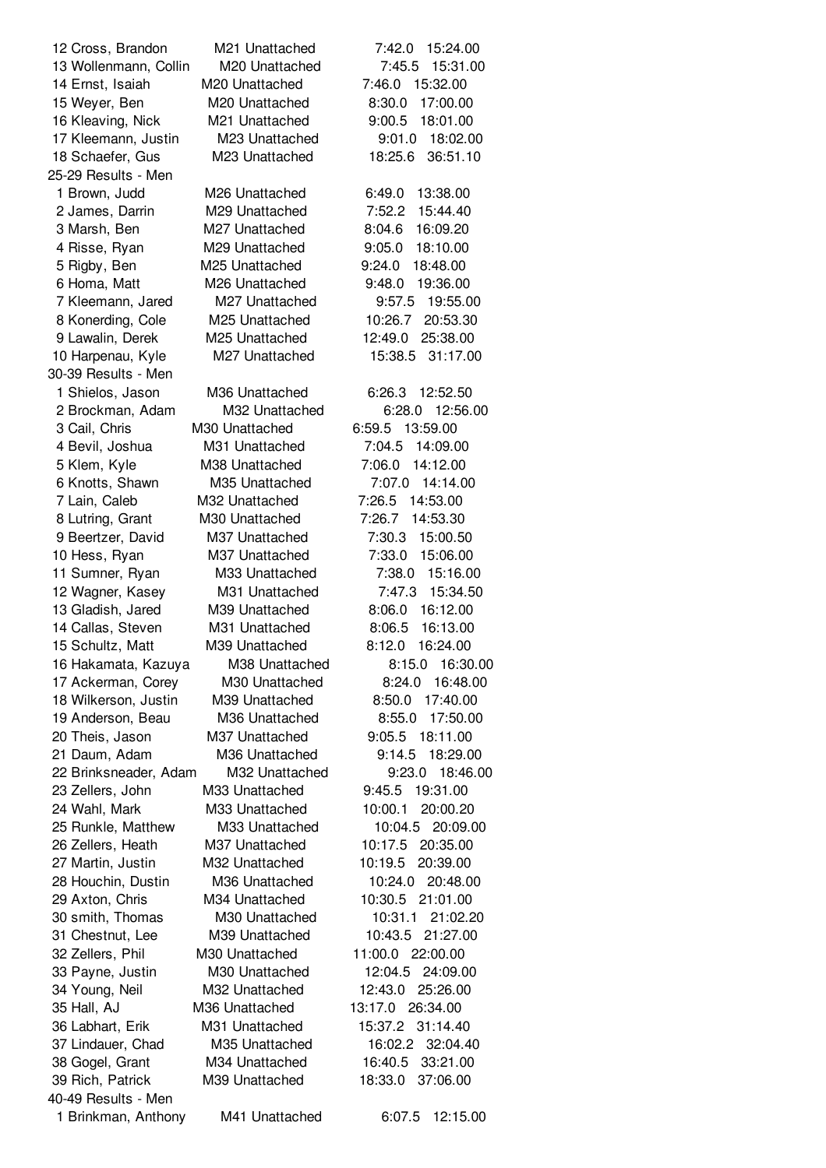| 12 Cross, Brandon     | M21 Unattached             | 15:24.00<br>7:42.0  |
|-----------------------|----------------------------|---------------------|
| 13 Wollenmann, Collin | M20 Unattached             | 15:31.00<br>7:45.5  |
| 14 Ernst, Isaiah      | M <sub>20</sub> Unattached | 7:46.0<br>15:32.00  |
| 15 Weyer, Ben         | M20 Unattached             | 8:30.0<br>17:00.00  |
| 16 Kleaving, Nick     | M21 Unattached             | 9:00.5<br>18:01.00  |
| 17 Kleemann, Justin   | M23 Unattached             | 9:01.0<br>18:02.00  |
| 18 Schaefer, Gus      | M23 Unattached             | 18:25.6<br>36:51.10 |
| 25-29 Results - Men   |                            |                     |
| 1 Brown, Judd         | M26 Unattached             | 13:38.00<br>6:49.0  |
| 2 James, Darrin       | M29 Unattached             | 7:52.2<br>15:44.40  |
| 3 Marsh, Ben          | M27 Unattached             | 16:09.20<br>8:04.6  |
|                       | M29 Unattached             | 18:10.00            |
| 4 Risse, Ryan         |                            | 9:05.0              |
| 5 Rigby, Ben          | M25 Unattached             | 9:24.0<br>18:48.00  |
| 6 Homa, Matt          | M26 Unattached             | 9:48.0<br>19:36.00  |
| 7 Kleemann, Jared     | M27 Unattached             | 9:57.5<br>19:55.00  |
| 8 Konerding, Cole     | M <sub>25</sub> Unattached | 10:26.7<br>20:53.30 |
| 9 Lawalin, Derek      | M25 Unattached             | 12:49.0<br>25:38.00 |
| 10 Harpenau, Kyle     | M27 Unattached             | 15:38.5<br>31:17.00 |
| 30-39 Results - Men   |                            |                     |
| 1 Shielos, Jason      | M36 Unattached             | 6:26.3<br>12:52.50  |
| 2 Brockman, Adam      | M32 Unattached             | 12:56.00<br>6:28.0  |
| 3 Cail, Chris         | M30 Unattached             | 6:59.5 13:59.00     |
| 4 Bevil, Joshua       | M31 Unattached             | 7:04.5<br>14:09.00  |
| 5 Klem, Kyle          | M38 Unattached             | 7:06.0<br>14:12.00  |
| 6 Knotts, Shawn       | M35 Unattached             | 7:07.0<br>14:14.00  |
| 7 Lain, Caleb         | M32 Unattached             | 7:26.5<br>14:53.00  |
| 8 Lutring, Grant      | M <sub>30</sub> Unattached | 7:26.7<br>14:53.30  |
| 9 Beertzer, David     | M37 Unattached             | 7:30.3<br>15:00.50  |
| 10 Hess, Ryan         | M37 Unattached             | 7:33.0<br>15:06.00  |
| 11 Sumner, Ryan       | M33 Unattached             | 15:16.00<br>7:38.0  |
| 12 Wagner, Kasey      | M31 Unattached             | 7:47.3<br>15:34.50  |
| 13 Gladish, Jared     | M39 Unattached             | 8:06.0<br>16:12.00  |
| 14 Callas, Steven     | M31 Unattached             | 8:06.5<br>16:13.00  |
| 15 Schultz, Matt      | M39 Unattached             | 8:12.0<br>16:24.00  |
| 16 Hakamata, Kazuya   | M38 Unattached             | 16:30.00<br>8:15.0  |
| 17 Ackerman, Corey    | M30 Unattached             | 8:24.0<br>16:48.00  |
| 18 Wilkerson, Justin  | M39 Unattached             | 8:50.0<br>17:40.00  |
| 19 Anderson, Beau     | M36 Unattached             | 17:50.00<br>8:55.0  |
| 20 Theis, Jason       | M37 Unattached             | 9:05.5 18:11.00     |
| 21 Daum, Adam         | M36 Unattached             | 9:14.5<br>18:29.00  |
| 22 Brinksneader, Adam | M32 Unattached             | 9:23.0<br>18:46.00  |
| 23 Zellers, John      | M33 Unattached             | 9:45.5<br>19:31.00  |
| 24 Wahl, Mark         | M33 Unattached             | 10:00.1<br>20:00.20 |
|                       |                            |                     |
| 25 Runkle, Matthew    | M33 Unattached             | 10:04.5 20:09.00    |
| 26 Zellers, Heath     | M37 Unattached             | 10:17.5<br>20:35.00 |
| 27 Martin, Justin     | M32 Unattached             | 20:39.00<br>10:19.5 |
| 28 Houchin, Dustin    | M36 Unattached             | 20:48.00<br>10:24.0 |
| 29 Axton, Chris       | M34 Unattached             | 10:30.5 21:01.00    |
| 30 smith, Thomas      | M30 Unattached             | 10:31.1 21:02.20    |
| 31 Chestnut, Lee      | M39 Unattached             | 10:43.5 21:27.00    |
| 32 Zellers, Phil      | M30 Unattached             | 11:00.0 22:00.00    |
| 33 Payne, Justin      | M30 Unattached             | 12:04.5<br>24:09.00 |
| 34 Young, Neil        | M32 Unattached             | 12:43.0<br>25:26.00 |
| 35 Hall, AJ           | M36 Unattached             | 13:17.0<br>26:34.00 |
| 36 Labhart, Erik      | M31 Unattached             | 15:37.2<br>31:14.40 |
| 37 Lindauer, Chad     | M35 Unattached             | 16:02.2 32:04.40    |
| 38 Gogel, Grant       | M34 Unattached             | 33:21.00<br>16:40.5 |
| 39 Rich, Patrick      | M39 Unattached             | 37:06.00<br>18:33.0 |
| 40-49 Results - Men   |                            |                     |
| 1 Brinkman, Anthony   | M41 Unattached             | 6:07.5<br>12:15.00  |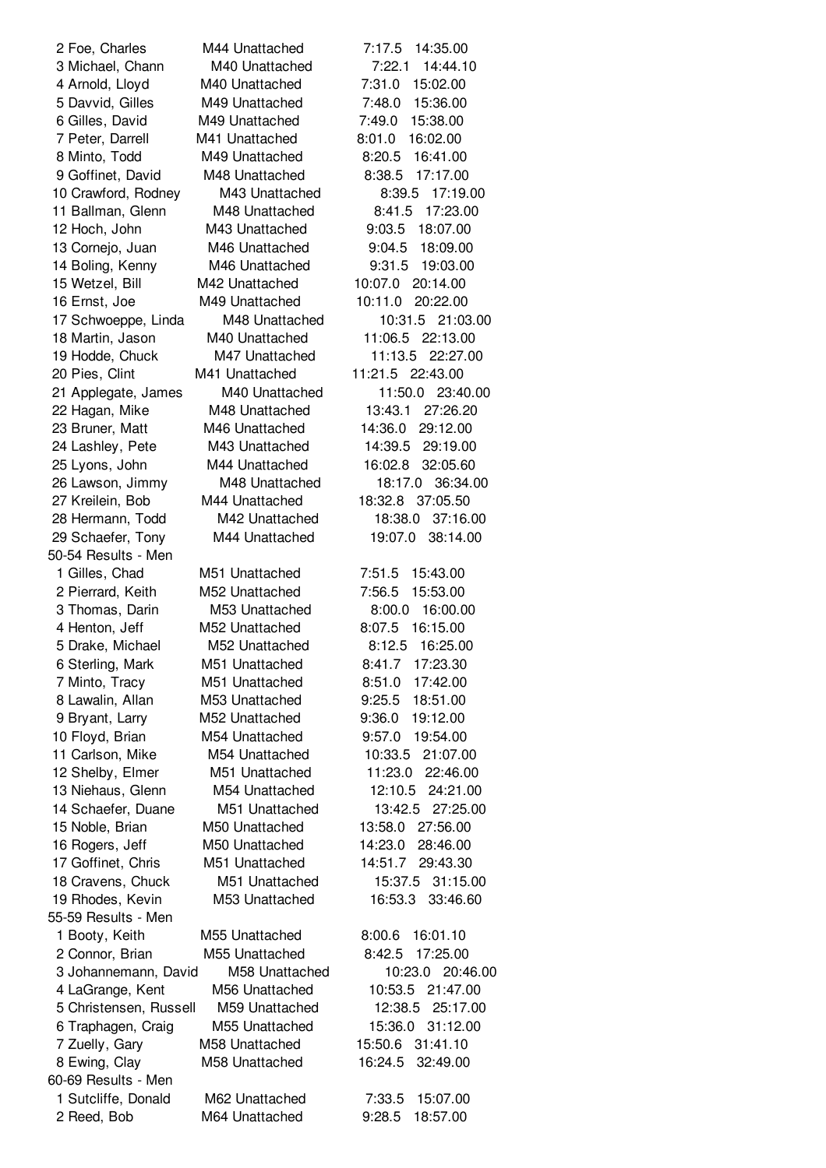50-54 Results - Men 55-59 Results - Men 60-69 Results - Men

 Foe, Charles M44 Unattached 7:17.5 14:35.00 Michael, Chann M40 Unattached 7:22.1 14:44.10 Arnold, Lloyd M40 Unattached 7:31.0 15:02.00 Davvid, Gilles M49 Unattached 7:48.0 15:36.00 Gilles, David M49 Unattached 7:49.0 15:38.00 Peter, Darrell M41 Unattached 8:01.0 16:02.00 Minto, Todd M49 Unattached 8:20.5 16:41.00 Goffinet, David M48 Unattached 8:38.5 17:17.00 Crawford, Rodney M43 Unattached 8:39.5 17:19.00 Ballman, Glenn M48 Unattached 8:41.5 17:23.00 Hoch, John M43 Unattached 9:03.5 18:07.00 Cornejo, Juan M46 Unattached 9:04.5 18:09.00 Boling, Kenny M46 Unattached 9:31.5 19:03.00 Wetzel, Bill M42 Unattached 10:07.0 20:14.00 Ernst, Joe M49 Unattached 10:11.0 20:22.00 Schwoeppe, Linda M48 Unattached 10:31.5 21:03.00 Martin, Jason M40 Unattached 11:06.5 22:13.00 Hodde, Chuck M47 Unattached 11:13.5 22:27.00 Pies, Clint M41 Unattached 11:21.5 22:43.00 Applegate, James M40 Unattached 11:50.0 23:40.00 Hagan, Mike M48 Unattached 13:43.1 27:26.20 Bruner, Matt M46 Unattached 14:36.0 29:12.00 Lashley, Pete M43 Unattached 14:39.5 29:19.00 Lyons, John M44 Unattached 16:02.8 32:05.60 Lawson, Jimmy M48 Unattached 18:17.0 36:34.00 Kreilein, Bob M44 Unattached 18:32.8 37:05.50 Hermann, Todd M42 Unattached 18:38.0 37:16.00 Schaefer, Tony M44 Unattached 19:07.0 38:14.00 Gilles, Chad M51 Unattached 7:51.5 15:43.00 Pierrard, Keith M52 Unattached 7:56.5 15:53.00 Thomas, Darin M53 Unattached 8:00.0 16:00.00 Henton, Jeff M52 Unattached 8:07.5 16:15.00 Drake, Michael M52 Unattached 8:12.5 16:25.00 Sterling, Mark M51 Unattached 8:41.7 17:23.30 Minto, Tracy M51 Unattached 8:51.0 17:42.00 Lawalin, Allan M53 Unattached 9:25.5 18:51.00 Bryant, Larry M52 Unattached 9:36.0 19:12.00 Floyd, Brian M54 Unattached 9:57.0 19:54.00 Carlson, Mike M54 Unattached 10:33.5 21:07.00 Shelby, Elmer M51 Unattached 11:23.0 22:46.00 Niehaus, Glenn M54 Unattached 12:10.5 24:21.00 Schaefer, Duane M51 Unattached 13:42.5 27:25.00 Noble, Brian M50 Unattached 13:58.0 27:56.00 Rogers, Jeff M50 Unattached 14:23.0 28:46.00 Goffinet, Chris M51 Unattached 14:51.7 29:43.30 Cravens, Chuck M51 Unattached 15:37.5 31:15.00 Rhodes, Kevin M53 Unattached 16:53.3 33:46.60 Booty, Keith M55 Unattached 8:00.6 16:01.10 Connor, Brian M55 Unattached 8:42.5 17:25.00 Johannemann, David M58 Unattached 10:23.0 20:46.00 LaGrange, Kent M56 Unattached 10:53.5 21:47.00 Christensen, Russell M59 Unattached 12:38.5 25:17.00 Traphagen, Craig M55 Unattached 15:36.0 31:12.00 Zuelly, Gary M58 Unattached 15:50.6 31:41.10 Ewing, Clay M58 Unattached 16:24.5 32:49.00 Sutcliffe, Donald M62 Unattached 7:33.5 15:07.00 Reed, Bob M64 Unattached 9:28.5 18:57.00